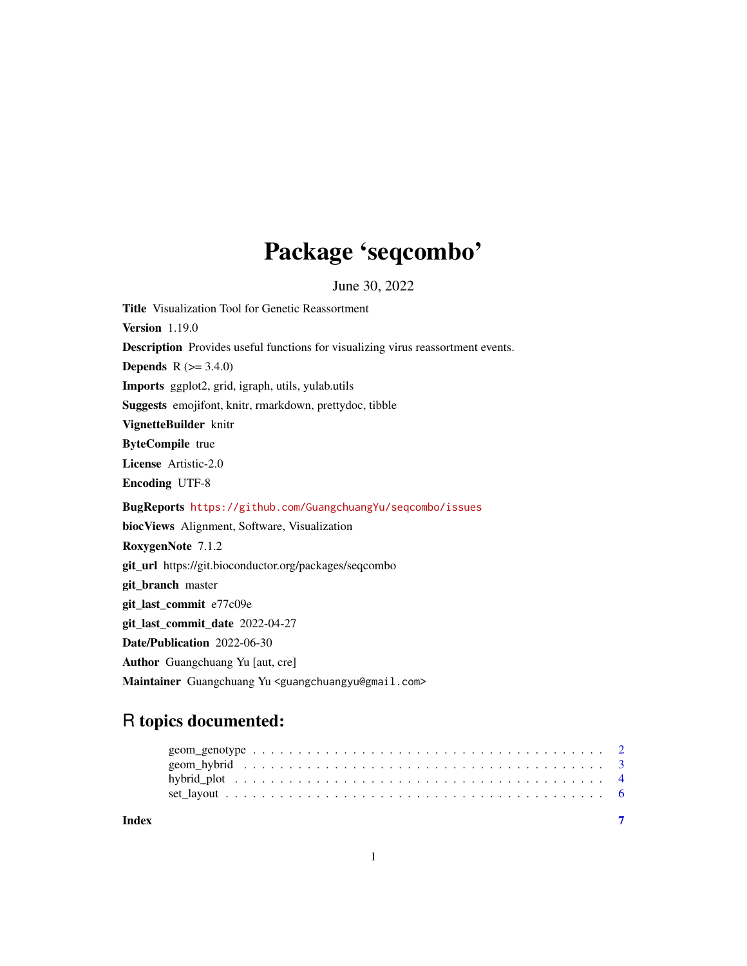# Package 'seqcombo'

June 30, 2022

Title Visualization Tool for Genetic Reassortment Version 1.19.0 Description Provides useful functions for visualizing virus reassortment events. **Depends**  $R (= 3.4.0)$ Imports ggplot2, grid, igraph, utils, yulab.utils Suggests emojifont, knitr, rmarkdown, prettydoc, tibble VignetteBuilder knitr ByteCompile true License Artistic-2.0 Encoding UTF-8 BugReports <https://github.com/GuangchuangYu/seqcombo/issues> biocViews Alignment, Software, Visualization RoxygenNote 7.1.2 git\_url https://git.bioconductor.org/packages/seqcombo git\_branch master git\_last\_commit e77c09e git\_last\_commit\_date 2022-04-27 Date/Publication 2022-06-30 Author Guangchuang Yu [aut, cre] Maintainer Guangchuang Yu <guangchuangyu@gmail.com>

# R topics documented:

| Index |  |
|-------|--|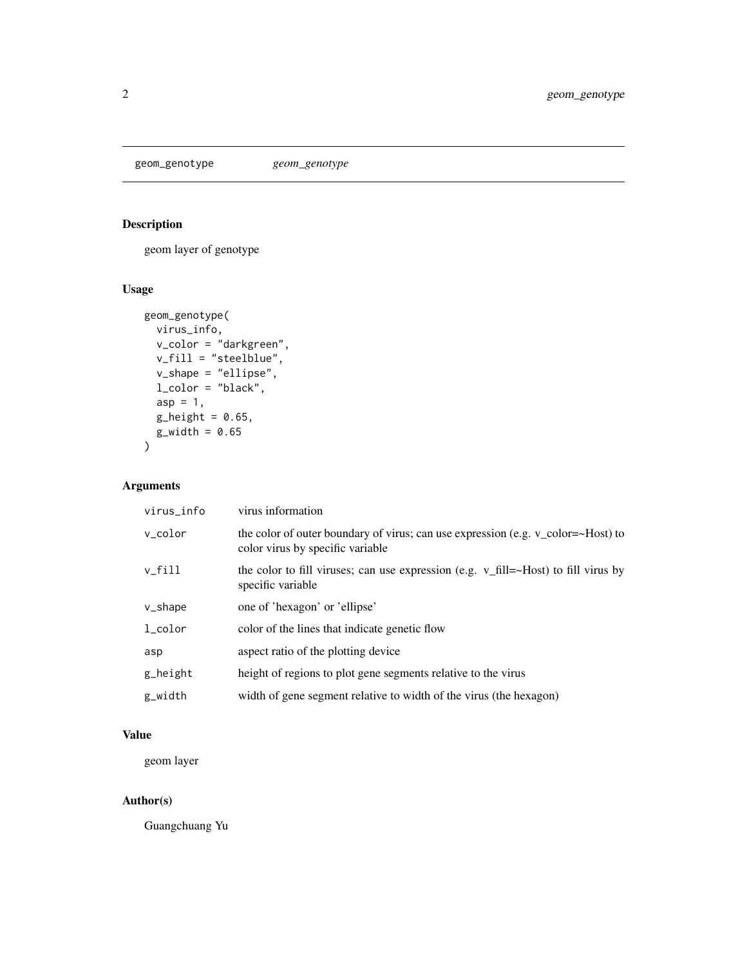<span id="page-1-0"></span>geom\_genotype *geom\_genotype*

# Description

geom layer of genotype

# Usage

```
geom_genotype(
  virus_info,
  v_color = "darkgreen",
  v_fill = "steelblue",
  v_shape = "ellipse",
  l_color = "black",
  asp = 1,g_{\text{height}} = 0.65,
  g_width = 0.65\mathcal{E}
```
#### Arguments

| virus_info          | virus information                                                                                                    |
|---------------------|----------------------------------------------------------------------------------------------------------------------|
| v_color             | the color of outer boundary of virus; can use expression (e.g. v_color=~Host) to<br>color virus by specific variable |
| v_fill              | the color to fill viruses; can use expression (e.g. $v_f$ fill=~Host) to fill virus by<br>specific variable          |
| v_shape             | one of 'hexagon' or 'ellipse'                                                                                        |
| $l_{\text{-color}}$ | color of the lines that indicate genetic flow                                                                        |
| asp                 | aspect ratio of the plotting device                                                                                  |
| g_height            | height of regions to plot gene segments relative to the virus                                                        |
| g_width             | width of gene segment relative to width of the virus (the hexagon)                                                   |

#### Value

geom layer

# Author(s)

Guangchuang Yu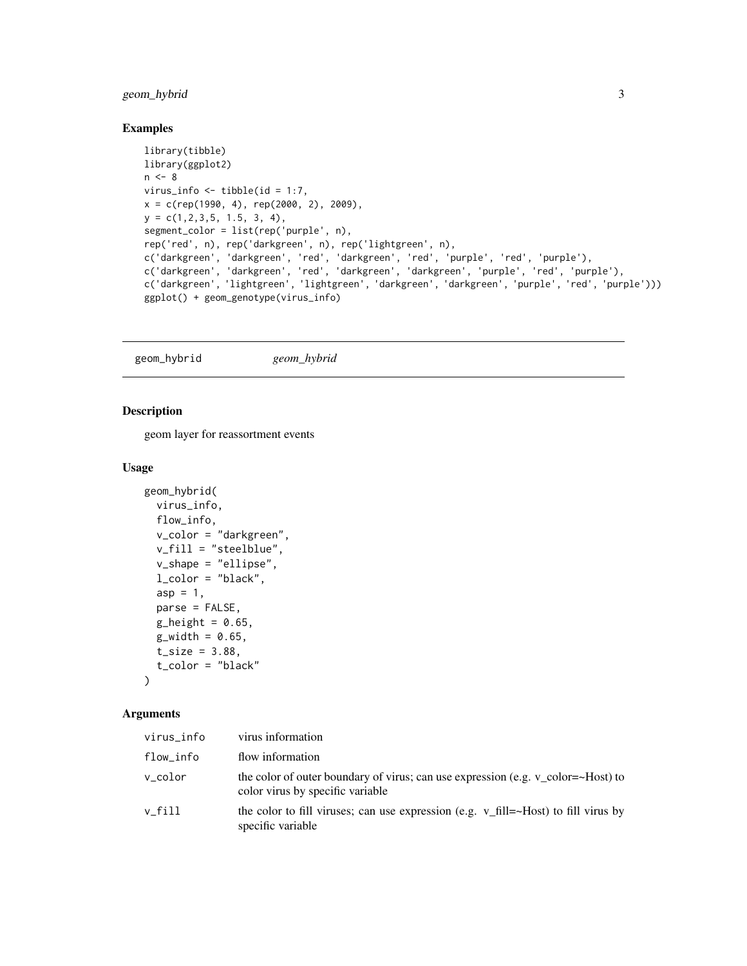#### <span id="page-2-0"></span>geom\_hybrid 3

#### Examples

```
library(tibble)
library(ggplot2)
n < - 8virus_info \le tibble(id = 1:7,
x = c(rep(1990, 4), rep(2000, 2), 2009),y = c(1, 2, 3, 5, 1.5, 3, 4),segment_color = list(rep('purple', n),
rep('red', n), rep('darkgreen', n), rep('lightgreen', n),
c('darkgreen', 'darkgreen', 'red', 'darkgreen', 'red', 'purple', 'red', 'purple'),
c('darkgreen', 'darkgreen', 'red', 'darkgreen', 'darkgreen', 'purple', 'red', 'purple'),
c('darkgreen', 'lightgreen', 'lightgreen', 'darkgreen', 'darkgreen', 'purple', 'red', 'purple')))
ggplot() + geom_genotype(virus_info)
```
geom\_hybrid *geom\_hybrid*

#### Description

geom layer for reassortment events

#### Usage

```
geom_hybrid(
 virus_info,
  flow_info,
  v_color = "darkgreen",
  v_fill = "steelblue",
  v_shape = "ellipse",
  l\_color = "black",asp = 1,parse = FALSE,
 g_{\text{height}} = 0.65,
 g_width = 0.65,
 t_{size} = 3.88,t_color = "black"
```
 $\lambda$ 

#### Arguments

| virus_info | virus information                                                                                                    |
|------------|----------------------------------------------------------------------------------------------------------------------|
| flow_info  | flow information                                                                                                     |
| v_color    | the color of outer boundary of virus; can use expression (e.g. v_color=~Host) to<br>color virus by specific variable |
| v fill     | the color to fill viruses; can use expression (e.g. $v_f$ fill=~Host) to fill virus by<br>specific variable          |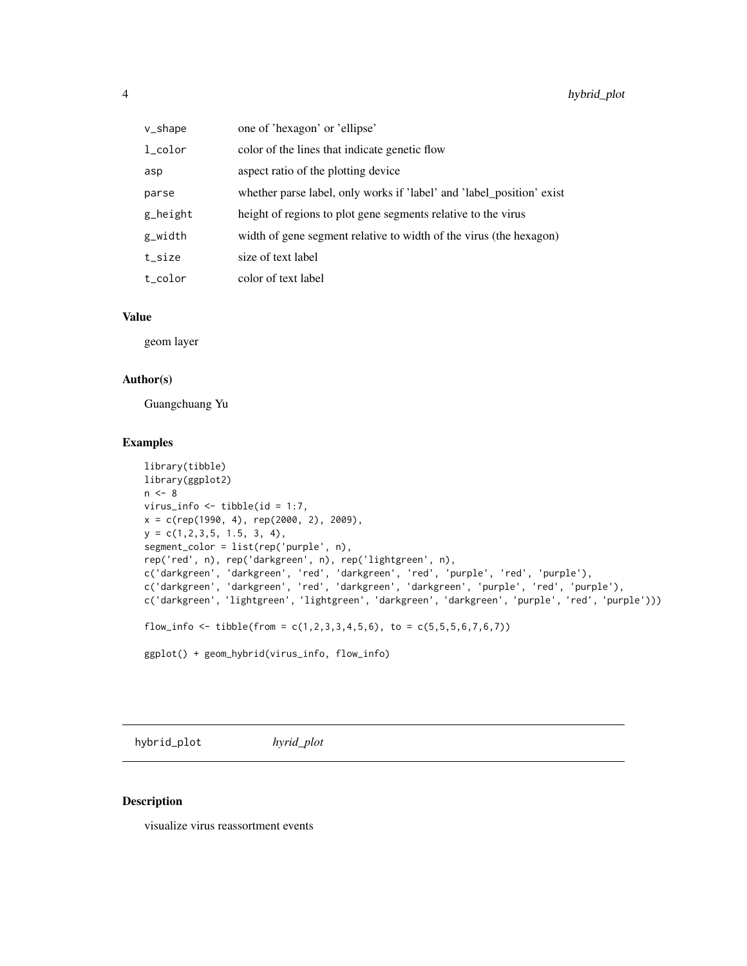<span id="page-3-0"></span>

| v_shape        | one of 'hexagon' or 'ellipse'                                         |
|----------------|-----------------------------------------------------------------------|
| $_{1_c}$ color | color of the lines that indicate genetic flow                         |
| asp            | aspect ratio of the plotting device                                   |
| parse          | whether parse label, only works if 'label' and 'label_position' exist |
| g_height       | height of regions to plot gene segments relative to the virus         |
| g_width        | width of gene segment relative to width of the virus (the hexagon)    |
| t_size         | size of text label                                                    |
| t_color        | color of text label                                                   |

#### Value

geom layer

#### Author(s)

Guangchuang Yu

#### Examples

```
library(tibble)
library(ggplot2)
n < - 8virus_info \le tibble(id = 1:7,
x = c(rep(1990, 4), rep(2000, 2), 2009),y = c(1, 2, 3, 5, 1.5, 3, 4),segment_color = list(rep('purple', n),
rep('red', n), rep('darkgreen', n), rep('lightgreen', n),
c('darkgreen', 'darkgreen', 'red', 'darkgreen', 'red', 'purple', 'red', 'purple'),
c('darkgreen', 'darkgreen', 'red', 'darkgreen', 'darkgreen', 'purple', 'red', 'purple'),
c('darkgreen', 'lightgreen', 'lightgreen', 'darkgreen', 'darkgreen', 'purple', 'red', 'purple')))
flow_info <- tibble(from = c(1,2,3,3,4,5,6), to = c(5,5,5,6,7,6,7))
ggplot() + geom_hybrid(virus_info, flow_info)
```
hybrid\_plot *hyrid\_plot*

#### Description

visualize virus reassortment events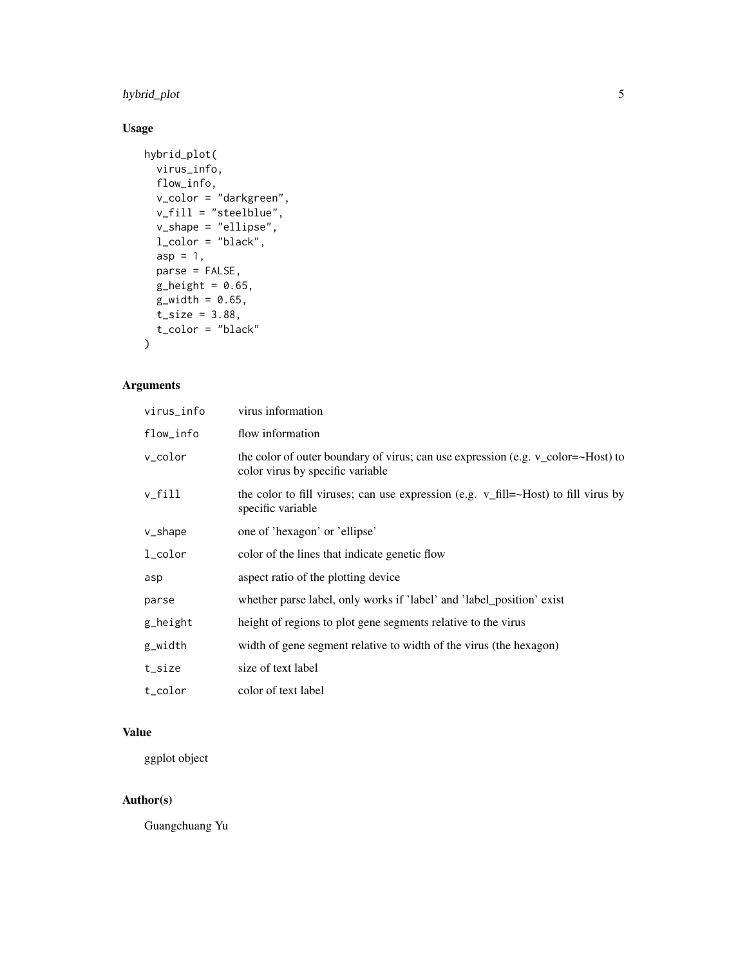# hybrid\_plot 5

# Usage

```
hybrid_plot(
  virus_info,
  flow_info,
  v_color = "darkgreen",
  v_fill = "steelblue",
  v_shape = "ellipse",
  l_color = "black",
  asp = 1,parse = FALSE,
  g_{\text{height}} = 0.65,
  g_width = 0.65,
  t_{size} = 3.88,t_color = "black"
\mathcal{E}
```
# Arguments

| virus_info | virus information                                                                                                    |
|------------|----------------------------------------------------------------------------------------------------------------------|
| flow_info  | flow information                                                                                                     |
| v_color    | the color of outer boundary of virus; can use expression (e.g. v_color=~Host) to<br>color virus by specific variable |
| v_fill     | the color to fill viruses; can use expression (e.g. $v_f$ fill=~Host) to fill virus by<br>specific variable          |
| v_shape    | one of 'hexagon' or 'ellipse'                                                                                        |
| l_color    | color of the lines that indicate genetic flow                                                                        |
| asp        | aspect ratio of the plotting device                                                                                  |
| parse      | whether parse label, only works if 'label' and 'label_position' exist                                                |
| g_height   | height of regions to plot gene segments relative to the virus                                                        |
| g_width    | width of gene segment relative to width of the virus (the hexagon)                                                   |
| t_size     | size of text label                                                                                                   |
| t_color    | color of text label                                                                                                  |

# Value

ggplot object

### Author(s)

Guangchuang Yu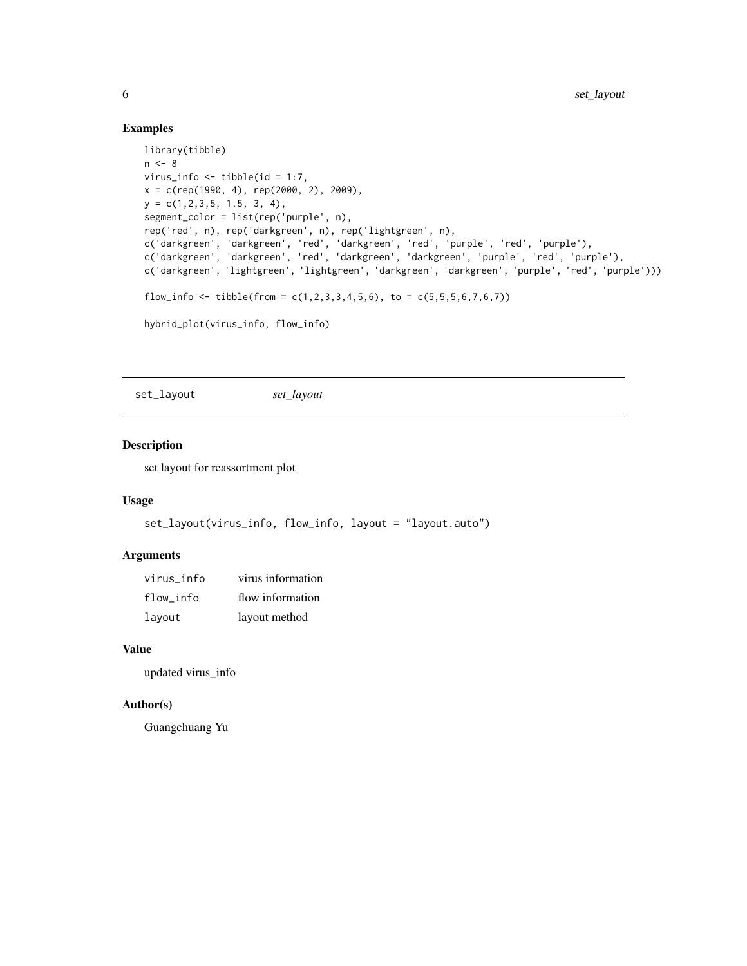#### Examples

```
library(tibble)
n < - 8virus_info \le tibble(id = 1:7,
x = c(rep(1990, 4), rep(2000, 2), 2009),y = c(1, 2, 3, 5, 1.5, 3, 4),
segment_color = list(rep('purple', n),
rep('red', n), rep('darkgreen', n), rep('lightgreen', n),
c('darkgreen', 'darkgreen', 'red', 'darkgreen', 'red', 'purple', 'red', 'purple'),
c('darkgreen', 'darkgreen', 'red', 'darkgreen', 'darkgreen', 'purple', 'red', 'purple'),
c('darkgreen', 'lightgreen', 'lightgreen', 'darkgreen', 'darkgreen', 'purple', 'red', 'purple')))
flow_info <- tibble(from = c(1,2,3,3,4,5,6), to = c(5,5,5,6,7,6,7))
hybrid_plot(virus_info, flow_info)
```
set\_layout *set\_layout*

#### Description

set layout for reassortment plot

#### Usage

```
set_layout(virus_info, flow_info, layout = "layout.auto")
```
#### Arguments

| virus info | virus information |
|------------|-------------------|
| flow info  | flow information  |
| layout     | layout method     |

#### Value

updated virus\_info

#### Author(s)

Guangchuang Yu

<span id="page-5-0"></span>